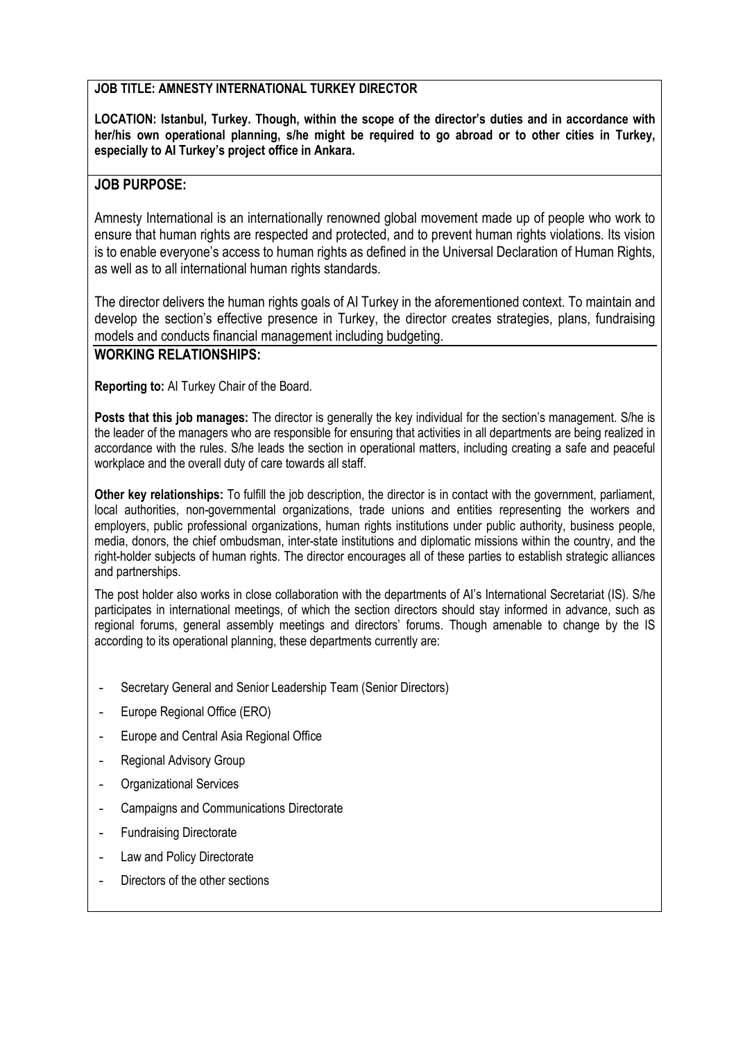# **JOB TITLE: AMNESTY INTERNATIONAL TURKEY DIRECTOR**

**LOCATION: Istanbul, Turkey. Though, within the scope of the director's duties and in accordance with her/his own operational planning, s/he might be required to go abroad or to other cities in Turkey, especially to AI Turkey's project office in Ankara.**

# **JOB PURPOSE:**

Amnesty International is an internationally renowned global movement made up of people who work to ensure that human rights are respected and protected, and to prevent human rights violations. Its vision is to enable everyone's access to human rights as defined in the Universal Declaration of Human Rights, as well as to all international human rights standards.

The director delivers the human rights goals of AI Turkey in the aforementioned context. To maintain and develop the section's effective presence in Turkey, the director creates strategies, plans, fundraising models and conducts financial management including budgeting.

### **WORKING RELATIONSHIPS:**

**Reporting to:** AI Turkey Chair of the Board.

**Posts that this job manages:** The director is generally the key individual for the section's management. S/he is the leader of the managers who are responsible for ensuring that activities in all departments are being realized in accordance with the rules. S/he leads the section in operational matters, including creating a safe and peaceful workplace and the overall duty of care towards all staff.

**Other key relationships:** To fulfill the job description, the director is in contact with the government, parliament, local authorities, non-governmental organizations, trade unions and entities representing the workers and employers, public professional organizations, human rights institutions under public authority, business people, media, donors, the chief ombudsman, inter-state institutions and diplomatic missions within the country, and the right-holder subjects of human rights. The director encourages all of these parties to establish strategic alliances and partnerships.

The post holder also works in close collaboration with the departments of AI's International Secretariat (IS). S/he participates in international meetings, of which the section directors should stay informed in advance, such as regional forums, general assembly meetings and directors' forums. Though amenable to change by the IS according to its operational planning, these departments currently are:

- Secretary General and Senior Leadership Team (Senior Directors)
- Europe Regional Office (ERO)
- Europe and Central Asia Regional Office
- Regional Advisory Group
- Organizational Services
- Campaigns and Communications Directorate
- Fundraising Directorate
- Law and Policy Directorate
- Directors of the other sections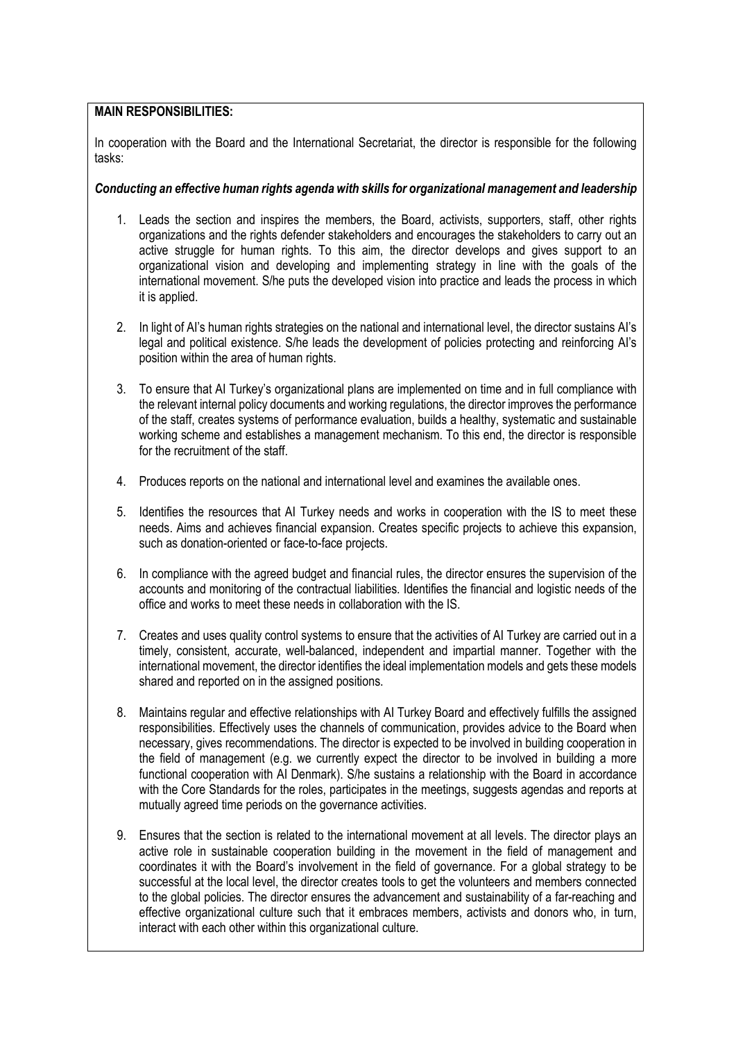### **MAIN RESPONSIBILITIES:**

In cooperation with the Board and the International Secretariat, the director is responsible for the following tasks:

#### *Conducting an effective human rights agenda with skills for organizational management and leadership*

- 1. Leads the section and inspires the members, the Board, activists, supporters, staff, other rights organizations and the rights defender stakeholders and encourages the stakeholders to carry out an active struggle for human rights. To this aim, the director develops and gives support to an organizational vision and developing and implementing strategy in line with the goals of the international movement. S/he puts the developed vision into practice and leads the process in which it is applied.
- 2. In light of AI's human rights strategies on the national and international level, the director sustains AI's legal and political existence. S/he leads the development of policies protecting and reinforcing AI's position within the area of human rights.
- 3. To ensure that AI Turkey's organizational plans are implemented on time and in full compliance with the relevant internal policy documents and working regulations, the director improves the performance of the staff, creates systems of performance evaluation, builds a healthy, systematic and sustainable working scheme and establishes a management mechanism. To this end, the director is responsible for the recruitment of the staff.
- 4. Produces reports on the national and international level and examines the available ones.
- 5. Identifies the resources that AI Turkey needs and works in cooperation with the IS to meet these needs. Aims and achieves financial expansion. Creates specific projects to achieve this expansion, such as donation-oriented or face-to-face projects.
- 6. In compliance with the agreed budget and financial rules, the director ensures the supervision of the accounts and monitoring of the contractual liabilities. Identifies the financial and logistic needs of the office and works to meet these needs in collaboration with the IS.
- 7. Creates and uses quality control systems to ensure that the activities of AI Turkey are carried out in a timely, consistent, accurate, well-balanced, independent and impartial manner. Together with the international movement, the director identifies the ideal implementation models and gets these models shared and reported on in the assigned positions.
- 8. Maintains regular and effective relationships with AI Turkey Board and effectively fulfills the assigned responsibilities. Effectively uses the channels of communication, provides advice to the Board when necessary, gives recommendations. The director is expected to be involved in building cooperation in the field of management (e.g. we currently expect the director to be involved in building a more functional cooperation with AI Denmark). S/he sustains a relationship with the Board in accordance with the Core Standards for the roles, participates in the meetings, suggests agendas and reports at mutually agreed time periods on the governance activities.
- 9. Ensures that the section is related to the international movement at all levels. The director plays an active role in sustainable cooperation building in the movement in the field of management and coordinates it with the Board's involvement in the field of governance. For a global strategy to be successful at the local level, the director creates tools to get the volunteers and members connected to the global policies. The director ensures the advancement and sustainability of a far-reaching and effective organizational culture such that it embraces members, activists and donors who, in turn, interact with each other within this organizational culture.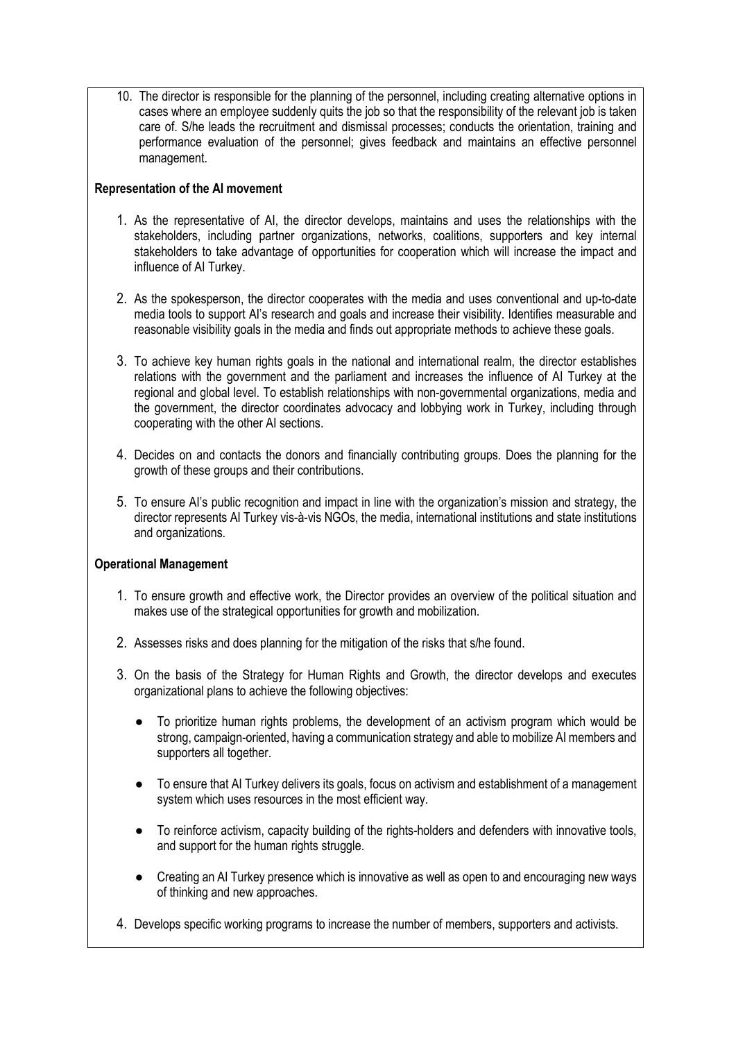10. The director is responsible for the planning of the personnel, including creating alternative options in cases where an employee suddenly quits the job so that the responsibility of the relevant job is taken care of. S/he leads the recruitment and dismissal processes; conducts the orientation, training and performance evaluation of the personnel; gives feedback and maintains an effective personnel management.

## **Representation of the AI movement**

- 1. As the representative of AI, the director develops, maintains and uses the relationships with the stakeholders, including partner organizations, networks, coalitions, supporters and key internal stakeholders to take advantage of opportunities for cooperation which will increase the impact and influence of AI Turkey.
- 2. As the spokesperson, the director cooperates with the media and uses conventional and up-to-date media tools to support AI's research and goals and increase their visibility. Identifies measurable and reasonable visibility goals in the media and finds out appropriate methods to achieve these goals.
- 3. To achieve key human rights goals in the national and international realm, the director establishes relations with the government and the parliament and increases the influence of AI Turkey at the regional and global level. To establish relationships with non-governmental organizations, media and the government, the director coordinates advocacy and lobbying work in Turkey, including through cooperating with the other AI sections.
- 4. Decides on and contacts the donors and financially contributing groups. Does the planning for the growth of these groups and their contributions.
- 5. To ensure AI's public recognition and impact in line with the organization's mission and strategy, the director represents AI Turkey vis-à-vis NGOs, the media, international institutions and state institutions and organizations.

### **Operational Management**

- 1. To ensure growth and effective work, the Director provides an overview of the political situation and makes use of the strategical opportunities for growth and mobilization.
- 2. Assesses risks and does planning for the mitigation of the risks that s/he found.
- 3. On the basis of the Strategy for Human Rights and Growth, the director develops and executes organizational plans to achieve the following objectives:
	- To prioritize human rights problems, the development of an activism program which would be strong, campaign-oriented, having a communication strategy and able to mobilize AI members and supporters all together.
	- To ensure that AI Turkey delivers its goals, focus on activism and establishment of a management system which uses resources in the most efficient way.
	- To reinforce activism, capacity building of the rights-holders and defenders with innovative tools, and support for the human rights struggle.
	- Creating an AI Turkey presence which is innovative as well as open to and encouraging new ways of thinking and new approaches.
- 4. Develops specific working programs to increase the number of members, supporters and activists.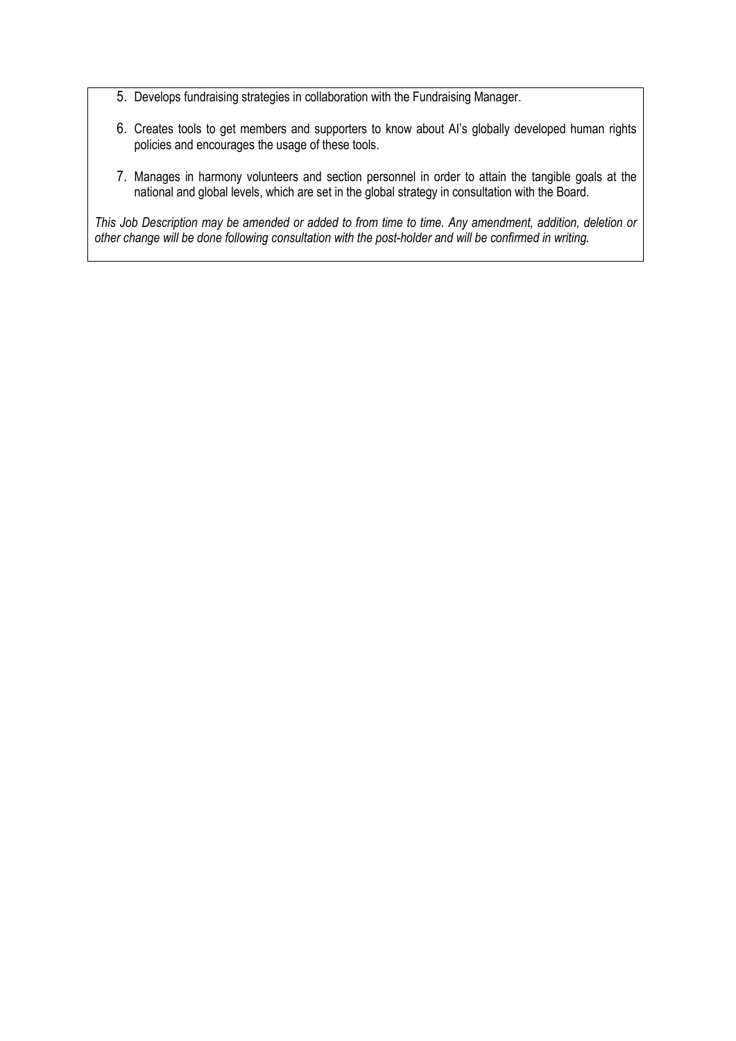- 5. Develops fundraising strategies in collaboration with the Fundraising Manager.
- 6. Creates tools to get members and supporters to know about AI's globally developed human rights policies and encourages the usage of these tools.
- 7. Manages in harmony volunteers and section personnel in order to attain the tangible goals at the national and global levels, which are set in the global strategy in consultation with the Board.

*This Job Description may be amended or added to from time to time. Any amendment, addition, deletion or other change will be done following consultation with the post-holder and will be confirmed in writing.*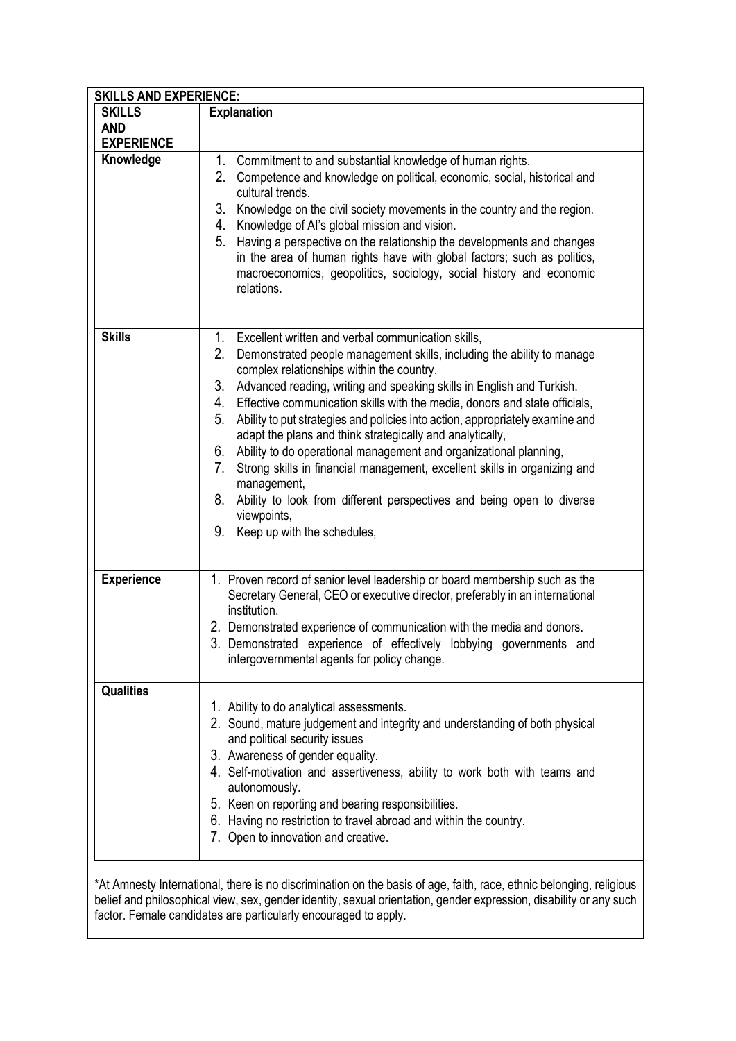| <b>SKILLS AND EXPERIENCE:</b>                                                                                       |                                                                                                                                                                                                                                                                                                                                                                                                                                                                                                                                                                                                                                                                                                                                                                                                                        |
|---------------------------------------------------------------------------------------------------------------------|------------------------------------------------------------------------------------------------------------------------------------------------------------------------------------------------------------------------------------------------------------------------------------------------------------------------------------------------------------------------------------------------------------------------------------------------------------------------------------------------------------------------------------------------------------------------------------------------------------------------------------------------------------------------------------------------------------------------------------------------------------------------------------------------------------------------|
| <b>SKILLS</b>                                                                                                       | <b>Explanation</b>                                                                                                                                                                                                                                                                                                                                                                                                                                                                                                                                                                                                                                                                                                                                                                                                     |
| <b>AND</b>                                                                                                          |                                                                                                                                                                                                                                                                                                                                                                                                                                                                                                                                                                                                                                                                                                                                                                                                                        |
| <b>EXPERIENCE</b>                                                                                                   |                                                                                                                                                                                                                                                                                                                                                                                                                                                                                                                                                                                                                                                                                                                                                                                                                        |
| Knowledge                                                                                                           | 1.<br>Commitment to and substantial knowledge of human rights.<br>2.<br>Competence and knowledge on political, economic, social, historical and<br>cultural trends.<br>3.<br>Knowledge on the civil society movements in the country and the region.<br>Knowledge of Al's global mission and vision.<br>4.<br>Having a perspective on the relationship the developments and changes<br>5.<br>in the area of human rights have with global factors; such as politics,<br>macroeconomics, geopolitics, sociology, social history and economic<br>relations.                                                                                                                                                                                                                                                              |
| <b>Skills</b>                                                                                                       | 1. Excellent written and verbal communication skills,<br>2.<br>Demonstrated people management skills, including the ability to manage<br>complex relationships within the country.<br>3.<br>Advanced reading, writing and speaking skills in English and Turkish.<br>Effective communication skills with the media, donors and state officials,<br>4.<br>Ability to put strategies and policies into action, appropriately examine and<br>5.<br>adapt the plans and think strategically and analytically,<br>Ability to do operational management and organizational planning,<br>6.<br>Strong skills in financial management, excellent skills in organizing and<br>7.<br>management,<br>Ability to look from different perspectives and being open to diverse<br>8.<br>viewpoints,<br>9. Keep up with the schedules, |
| <b>Experience</b>                                                                                                   | 1. Proven record of senior level leadership or board membership such as the<br>Secretary General, CEO or executive director, preferably in an international<br>institution.<br>2. Demonstrated experience of communication with the media and donors.<br>3. Demonstrated experience of effectively lobbying governments and<br>intergovernmental agents for policy change.                                                                                                                                                                                                                                                                                                                                                                                                                                             |
| <b>Qualities</b>                                                                                                    | 1. Ability to do analytical assessments.<br>2. Sound, mature judgement and integrity and understanding of both physical<br>and political security issues<br>3. Awareness of gender equality.<br>4. Self-motivation and assertiveness, ability to work both with teams and<br>autonomously.<br>5. Keen on reporting and bearing responsibilities.<br>6. Having no restriction to travel abroad and within the country.<br>7. Open to innovation and creative.                                                                                                                                                                                                                                                                                                                                                           |
| *At Amnesty International, there is no discrimination on the basis of age, faith, race, ethnic belonging, religious |                                                                                                                                                                                                                                                                                                                                                                                                                                                                                                                                                                                                                                                                                                                                                                                                                        |

belief and philosophical view, sex, gender identity, sexual orientation, gender expression, disability or any such factor. Female candidates are particularly encouraged to apply.